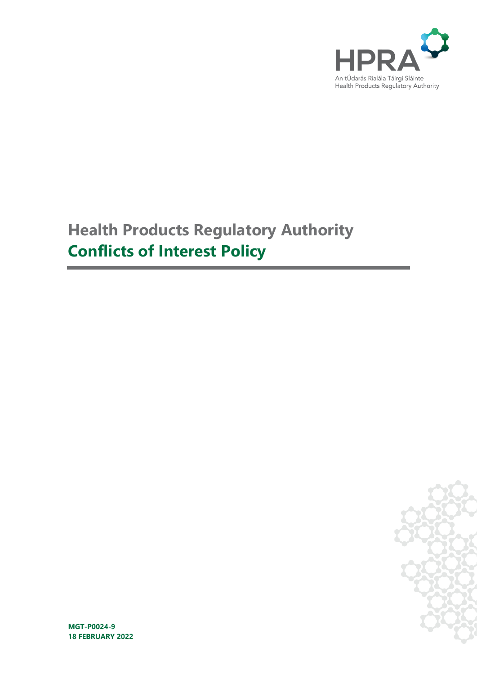

# **Health Products Regulatory Authority Conflicts of Interest Policy**



**MGT-P0024-9 18 FEBRUARY 2022**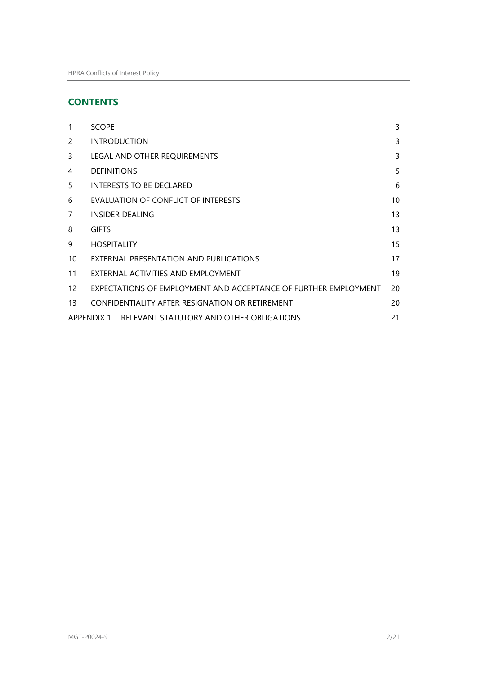## **CONTENTS**

| 1             | <b>SCOPE</b>                                                    | 3  |
|---------------|-----------------------------------------------------------------|----|
| $\mathcal{P}$ | <b>INTRODUCTION</b>                                             | 3  |
| 3             | LEGAL AND OTHER REQUIREMENTS                                    | 3  |
| 4             | <b>DEFINITIONS</b>                                              | 5  |
| 5             | <b>INTERESTS TO BE DECLARED</b>                                 | 6  |
| 6             | EVALUATION OF CONFLICT OF INTERESTS                             | 10 |
| 7             | <b>INSIDER DEALING</b>                                          | 13 |
| 8             | <b>GIFTS</b>                                                    | 13 |
| 9             | <b>HOSPITALITY</b>                                              | 15 |
| 10            | EXTERNAL PRESENTATION AND PUBLICATIONS                          | 17 |
| 11            | EXTERNAL ACTIVITIES AND EMPLOYMENT                              | 19 |
| 12            | EXPECTATIONS OF EMPLOYMENT AND ACCEPTANCE OF FURTHER EMPLOYMENT | 20 |
| 13            | CONFIDENTIALITY AFTER RESIGNATION OR RETIREMENT                 | 20 |
|               | APPENDIX 1 RELEVANT STATUTORY AND OTHER OBLIGATIONS             | 21 |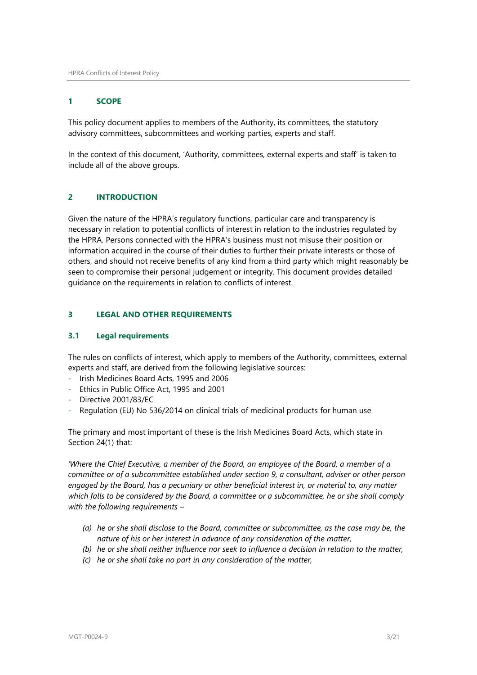## <span id="page-2-0"></span>**1 SCOPE**

This policy document applies to members of the Authority, its committees, the statutory advisory committees, subcommittees and working parties, experts and staff.

In the context of this document, 'Authority, committees, external experts and staff' is taken to include all of the above groups.

## <span id="page-2-1"></span>**2 INTRODUCTION**

Given the nature of the HPRA's regulatory functions, particular care and transparency is necessary in relation to potential conflicts of interest in relation to the industries regulated by the HPRA. Persons connected with the HPRA's business must not misuse their position or information acquired in the course of their duties to further their private interests or those of others, and should not receive benefits of any kind from a third party which might reasonably be seen to compromise their personal judgement or integrity. This document provides detailed guidance on the requirements in relation to conflicts of interest.

#### <span id="page-2-2"></span>**3 LEGAL AND OTHER REQUIREMENTS**

#### **3.1 Legal requirements**

The rules on conflicts of interest, which apply to members of the Authority, committees, external experts and staff, are derived from the following legislative sources:

- Irish Medicines Board Acts, 1995 and 2006
- Ethics in Public Office Act, 1995 and 2001
- Directive 2001/83/EC
- Regulation (EU) No 536/2014 on clinical trials of medicinal products for human use

The primary and most important of these is the Irish Medicines Board Acts, which state in Section 24(1) that:

*'Where the Chief Executive, a member of the Board, an employee of the Board, a member of a committee or of a subcommittee established under section 9, a consultant, adviser or other person engaged by the Board, has a pecuniary or other beneficial interest in, or material to, any matter which falls to be considered by the Board, a committee or a subcommittee, he or she shall comply with the following requirements –*

- *(a) he or she shall disclose to the Board, committee or subcommittee, as the case may be, the nature of his or her interest in advance of any consideration of the matter,*
- *(b) he or she shall neither influence nor seek to influence a decision in relation to the matter,*
- *(c) he or she shall take no part in any consideration of the matter,*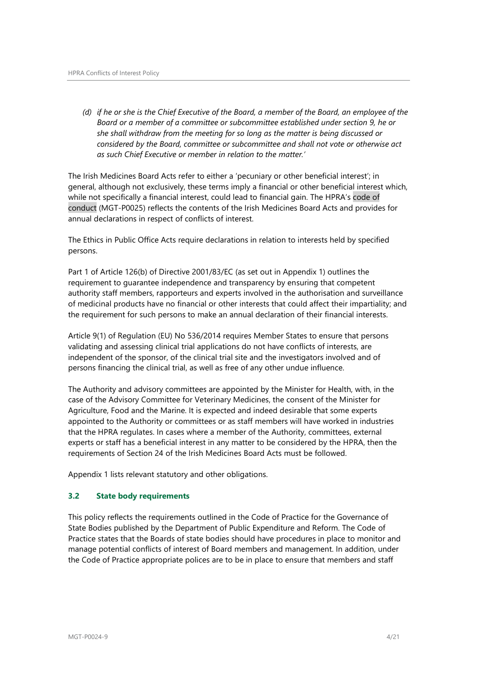*(d) if he or she is the Chief Executive of the Board, a member of the Board, an employee of the Board or a member of a committee or subcommittee established under section 9, he or she shall withdraw from the meeting for so long as the matter is being discussed or considered by the Board, committee or subcommittee and shall not vote or otherwise act as such Chief Executive or member in relation to the matter.'*

The Irish Medicines Board Acts refer to either a 'pecuniary or other beneficial interest'; in general, although not exclusively, these terms imply a financial or other beneficial interest which, while not specifically a financial interest, could lead to financial gain. The HPRA's code of conduct (MGT-P0025) reflects the contents of the Irish Medicines Board Acts and provides for annual declarations in respect of conflicts of interest.

The Ethics in Public Office Acts require declarations in relation to interests held by specified persons.

Part 1 of Article 126(b) of Directive 2001/83/EC (as set out in Appendix 1) outlines the requirement to guarantee independence and transparency by ensuring that competent authority staff members, rapporteurs and experts involved in the authorisation and surveillance of medicinal products have no financial or other interests that could affect their impartiality; and the requirement for such persons to make an annual declaration of their financial interests.

Article 9(1) of Regulation (EU) No 536/2014 requires Member States to ensure that persons validating and assessing clinical trial applications do not have conflicts of interests, are independent of the sponsor, of the clinical trial site and the investigators involved and of persons financing the clinical trial, as well as free of any other undue influence.

The Authority and advisory committees are appointed by the Minister for Health, with, in the case of the Advisory Committee for Veterinary Medicines, the consent of the Minister for Agriculture, Food and the Marine. It is expected and indeed desirable that some experts appointed to the Authority or committees or as staff members will have worked in industries that the HPRA regulates. In cases where a member of the Authority, committees, external experts or staff has a beneficial interest in any matter to be considered by the HPRA, then the requirements of Section 24 of the Irish Medicines Board Acts must be followed.

Appendix 1 lists relevant statutory and other obligations.

#### **3.2 State body requirements**

This policy reflects the requirements outlined in the Code of Practice for the Governance of State Bodies published by the Department of Public Expenditure and Reform. The Code of Practice states that the Boards of state bodies should have procedures in place to monitor and manage potential conflicts of interest of Board members and management. In addition, under the Code of Practice appropriate polices are to be in place to ensure that members and staff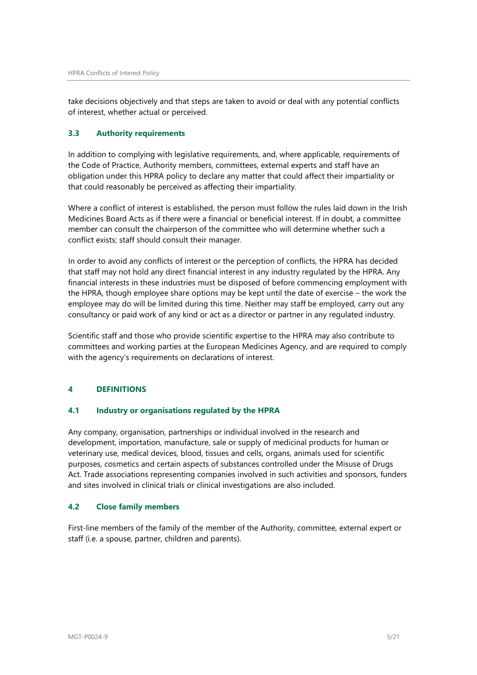take decisions objectively and that steps are taken to avoid or deal with any potential conflicts of interest, whether actual or perceived.

## **3.3 Authority requirements**

In addition to complying with legislative requirements, and, where applicable, requirements of the Code of Practice, Authority members, committees, external experts and staff have an obligation under this HPRA policy to declare any matter that could affect their impartiality or that could reasonably be perceived as affecting their impartiality.

Where a conflict of interest is established, the person must follow the rules laid down in the Irish Medicines Board Acts as if there were a financial or beneficial interest. If in doubt, a committee member can consult the chairperson of the committee who will determine whether such a conflict exists; staff should consult their manager.

In order to avoid any conflicts of interest or the perception of conflicts, the HPRA has decided that staff may not hold any direct financial interest in any industry regulated by the HPRA. Any financial interests in these industries must be disposed of before commencing employment with the HPRA, though employee share options may be kept until the date of exercise – the work the employee may do will be limited during this time. Neither may staff be employed, carry out any consultancy or paid work of any kind or act as a director or partner in any regulated industry.

Scientific staff and those who provide scientific expertise to the HPRA may also contribute to committees and working parties at the European Medicines Agency, and are required to comply with the agency's requirements on declarations of interest.

## <span id="page-4-0"></span>**4 DEFINITIONS**

#### **4.1 Industry or organisations regulated by the HPRA**

Any company, organisation, partnerships or individual involved in the research and development, importation, manufacture, sale or supply of medicinal products for human or veterinary use, medical devices, blood, tissues and cells, organs, animals used for scientific purposes, cosmetics and certain aspects of substances controlled under the Misuse of Drugs Act. Trade associations representing companies involved in such activities and sponsors, funders and sites involved in clinical trials or clinical investigations are also included.

#### **4.2 Close family members**

First-line members of the family of the member of the Authority, committee, external expert or staff (i.e. a spouse, partner, children and parents).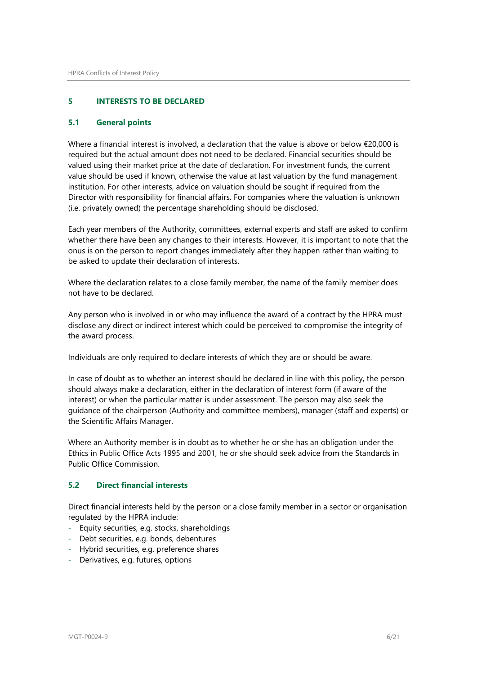## <span id="page-5-0"></span>**5 INTERESTS TO BE DECLARED**

#### **5.1 General points**

Where a financial interest is involved, a declaration that the value is above or below €20,000 is required but the actual amount does not need to be declared. Financial securities should be valued using their market price at the date of declaration. For investment funds, the current value should be used if known, otherwise the value at last valuation by the fund management institution. For other interests, advice on valuation should be sought if required from the Director with responsibility for financial affairs. For companies where the valuation is unknown (i.e. privately owned) the percentage shareholding should be disclosed.

Each year members of the Authority, committees, external experts and staff are asked to confirm whether there have been any changes to their interests. However, it is important to note that the onus is on the person to report changes immediately after they happen rather than waiting to be asked to update their declaration of interests.

Where the declaration relates to a close family member, the name of the family member does not have to be declared.

Any person who is involved in or who may influence the award of a contract by the HPRA must disclose any direct or indirect interest which could be perceived to compromise the integrity of the award process.

Individuals are only required to declare interests of which they are or should be aware.

In case of doubt as to whether an interest should be declared in line with this policy, the person should always make a declaration, either in the declaration of interest form (if aware of the interest) or when the particular matter is under assessment. The person may also seek the guidance of the chairperson (Authority and committee members), manager (staff and experts) or the Scientific Affairs Manager.

Where an Authority member is in doubt as to whether he or she has an obligation under the Ethics in Public Office Acts 1995 and 2001, he or she should seek advice from the Standards in Public Office Commission.

#### **5.2 Direct financial interests**

Direct financial interests held by the person or a close family member in a sector or organisation regulated by the HPRA include:

- Equity securities, e.g. stocks, shareholdings
- Debt securities, e.g. bonds, debentures
- Hybrid securities, e.g. preference shares
- Derivatives, e.g. futures, options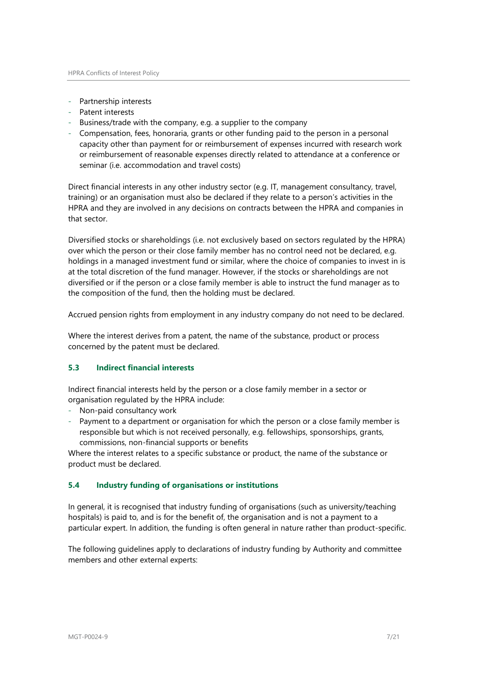- Partnership interests
- Patent interests
- Business/trade with the company, e.g. a supplier to the company
- Compensation, fees, honoraria, grants or other funding paid to the person in a personal capacity other than payment for or reimbursement of expenses incurred with research work or reimbursement of reasonable expenses directly related to attendance at a conference or seminar (i.e. accommodation and travel costs)

Direct financial interests in any other industry sector (e.g. IT, management consultancy, travel, training) or an organisation must also be declared if they relate to a person's activities in the HPRA and they are involved in any decisions on contracts between the HPRA and companies in that sector.

Diversified stocks or shareholdings (i.e. not exclusively based on sectors regulated by the HPRA) over which the person or their close family member has no control need not be declared, e.g. holdings in a managed investment fund or similar, where the choice of companies to invest in is at the total discretion of the fund manager. However, if the stocks or shareholdings are not diversified or if the person or a close family member is able to instruct the fund manager as to the composition of the fund, then the holding must be declared.

Accrued pension rights from employment in any industry company do not need to be declared.

Where the interest derives from a patent, the name of the substance, product or process concerned by the patent must be declared.

#### **5.3 Indirect financial interests**

Indirect financial interests held by the person or a close family member in a sector or organisation regulated by the HPRA include:

- Non-paid consultancy work
- Payment to a department or organisation for which the person or a close family member is responsible but which is not received personally, e.g. fellowships, sponsorships, grants, commissions, non-financial supports or benefits

Where the interest relates to a specific substance or product, the name of the substance or product must be declared.

#### **5.4 Industry funding of organisations or institutions**

In general, it is recognised that industry funding of organisations (such as university/teaching hospitals) is paid to, and is for the benefit of, the organisation and is not a payment to a particular expert. In addition, the funding is often general in nature rather than product-specific.

The following guidelines apply to declarations of industry funding by Authority and committee members and other external experts: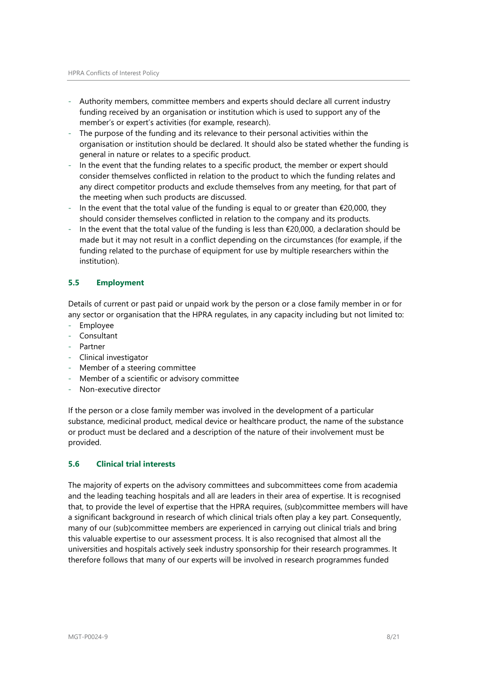- Authority members, committee members and experts should declare all current industry funding received by an organisation or institution which is used to support any of the member's or expert's activities (for example, research).
- The purpose of the funding and its relevance to their personal activities within the organisation or institution should be declared. It should also be stated whether the funding is general in nature or relates to a specific product.
- In the event that the funding relates to a specific product, the member or expert should consider themselves conflicted in relation to the product to which the funding relates and any direct competitor products and exclude themselves from any meeting, for that part of the meeting when such products are discussed.
- In the event that the total value of the funding is equal to or greater than  $€20,000$ , they should consider themselves conflicted in relation to the company and its products.
- In the event that the total value of the funding is less than €20,000, a declaration should be made but it may not result in a conflict depending on the circumstances (for example, if the funding related to the purchase of equipment for use by multiple researchers within the institution).

## **5.5 Employment**

Details of current or past paid or unpaid work by the person or a close family member in or for any sector or organisation that the HPRA regulates, in any capacity including but not limited to:

- Employee
- Consultant
- Partner
- Clinical investigator
- Member of a steering committee
- Member of a scientific or advisory committee
- Non-executive director

If the person or a close family member was involved in the development of a particular substance, medicinal product, medical device or healthcare product, the name of the substance or product must be declared and a description of the nature of their involvement must be provided.

#### **5.6 Clinical trial interests**

The majority of experts on the advisory committees and subcommittees come from academia and the leading teaching hospitals and all are leaders in their area of expertise. It is recognised that, to provide the level of expertise that the HPRA requires, (sub)committee members will have a significant background in research of which clinical trials often play a key part. Consequently, many of our (sub)committee members are experienced in carrying out clinical trials and bring this valuable expertise to our assessment process. It is also recognised that almost all the universities and hospitals actively seek industry sponsorship for their research programmes. It therefore follows that many of our experts will be involved in research programmes funded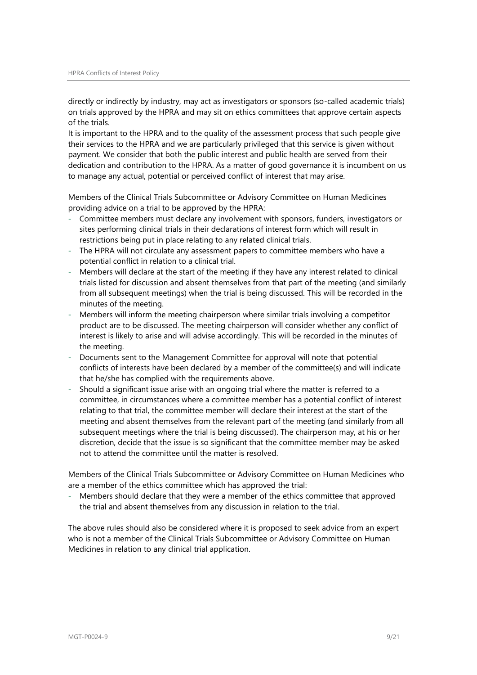directly or indirectly by industry, may act as investigators or sponsors (so-called academic trials) on trials approved by the HPRA and may sit on ethics committees that approve certain aspects of the trials.

It is important to the HPRA and to the quality of the assessment process that such people give their services to the HPRA and we are particularly privileged that this service is given without payment. We consider that both the public interest and public health are served from their dedication and contribution to the HPRA. As a matter of good governance it is incumbent on us to manage any actual, potential or perceived conflict of interest that may arise.

Members of the Clinical Trials Subcommittee or Advisory Committee on Human Medicines providing advice on a trial to be approved by the HPRA:

- Committee members must declare any involvement with sponsors, funders, investigators or sites performing clinical trials in their declarations of interest form which will result in restrictions being put in place relating to any related clinical trials.
- The HPRA will not circulate any assessment papers to committee members who have a potential conflict in relation to a clinical trial.
- Members will declare at the start of the meeting if they have any interest related to clinical trials listed for discussion and absent themselves from that part of the meeting (and similarly from all subsequent meetings) when the trial is being discussed. This will be recorded in the minutes of the meeting.
- Members will inform the meeting chairperson where similar trials involving a competitor product are to be discussed. The meeting chairperson will consider whether any conflict of interest is likely to arise and will advise accordingly. This will be recorded in the minutes of the meeting.
- Documents sent to the Management Committee for approval will note that potential conflicts of interests have been declared by a member of the committee(s) and will indicate that he/she has complied with the requirements above.
- Should a significant issue arise with an ongoing trial where the matter is referred to a committee, in circumstances where a committee member has a potential conflict of interest relating to that trial, the committee member will declare their interest at the start of the meeting and absent themselves from the relevant part of the meeting (and similarly from all subsequent meetings where the trial is being discussed). The chairperson may, at his or her discretion, decide that the issue is so significant that the committee member may be asked not to attend the committee until the matter is resolved.

Members of the Clinical Trials Subcommittee or Advisory Committee on Human Medicines who are a member of the ethics committee which has approved the trial:

Members should declare that they were a member of the ethics committee that approved the trial and absent themselves from any discussion in relation to the trial.

The above rules should also be considered where it is proposed to seek advice from an expert who is not a member of the Clinical Trials Subcommittee or Advisory Committee on Human Medicines in relation to any clinical trial application.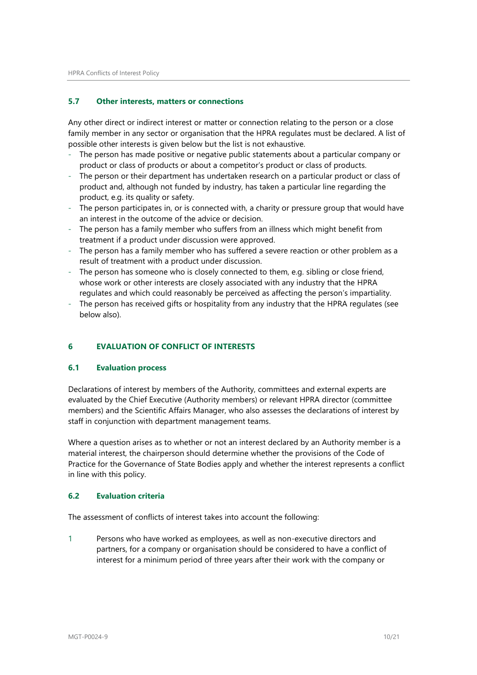#### **5.7 Other interests, matters or connections**

Any other direct or indirect interest or matter or connection relating to the person or a close family member in any sector or organisation that the HPRA regulates must be declared. A list of possible other interests is given below but the list is not exhaustive.

- The person has made positive or negative public statements about a particular company or product or class of products or about a competitor's product or class of products.
- The person or their department has undertaken research on a particular product or class of product and, although not funded by industry, has taken a particular line regarding the product, e.g. its quality or safety.
- The person participates in, or is connected with, a charity or pressure group that would have an interest in the outcome of the advice or decision.
- The person has a family member who suffers from an illness which might benefit from treatment if a product under discussion were approved.
- The person has a family member who has suffered a severe reaction or other problem as a result of treatment with a product under discussion.
- The person has someone who is closely connected to them, e.g. sibling or close friend, whose work or other interests are closely associated with any industry that the HPRA regulates and which could reasonably be perceived as affecting the person's impartiality.
- The person has received gifts or hospitality from any industry that the HPRA regulates (see below also).

#### <span id="page-9-0"></span>**6 EVALUATION OF CONFLICT OF INTERESTS**

#### **6.1 Evaluation process**

Declarations of interest by members of the Authority, committees and external experts are evaluated by the Chief Executive (Authority members) or relevant HPRA director (committee members) and the Scientific Affairs Manager, who also assesses the declarations of interest by staff in conjunction with department management teams.

Where a question arises as to whether or not an interest declared by an Authority member is a material interest, the chairperson should determine whether the provisions of the Code of Practice for the Governance of State Bodies apply and whether the interest represents a conflict in line with this policy.

#### **6.2 Evaluation criteria**

The assessment of conflicts of interest takes into account the following:

1 Persons who have worked as employees, as well as non-executive directors and partners, for a company or organisation should be considered to have a conflict of interest for a minimum period of three years after their work with the company or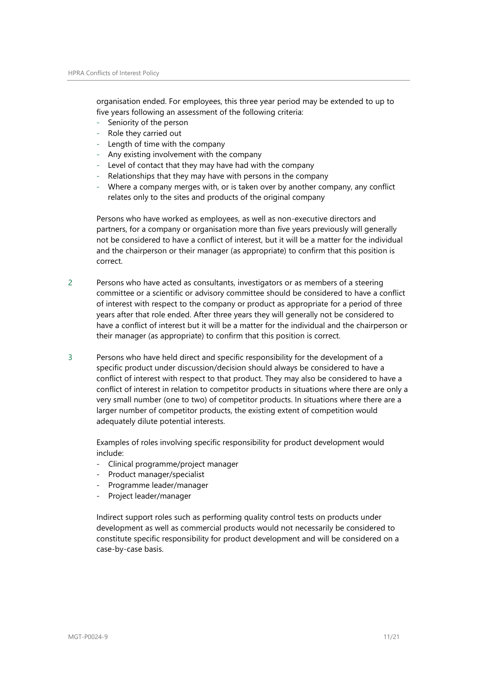organisation ended. For employees, this three year period may be extended to up to five years following an assessment of the following criteria:

- Seniority of the person
- Role they carried out
- Length of time with the company
- Any existing involvement with the company
- Level of contact that they may have had with the company
- Relationships that they may have with persons in the company
- Where a company merges with, or is taken over by another company, any conflict relates only to the sites and products of the original company

Persons who have worked as employees, as well as non-executive directors and partners, for a company or organisation more than five years previously will generally not be considered to have a conflict of interest, but it will be a matter for the individual and the chairperson or their manager (as appropriate) to confirm that this position is correct.

- 2 Persons who have acted as consultants, investigators or as members of a steering committee or a scientific or advisory committee should be considered to have a conflict of interest with respect to the company or product as appropriate for a period of three years after that role ended. After three years they will generally not be considered to have a conflict of interest but it will be a matter for the individual and the chairperson or their manager (as appropriate) to confirm that this position is correct.
- 3 Persons who have held direct and specific responsibility for the development of a specific product under discussion/decision should always be considered to have a conflict of interest with respect to that product. They may also be considered to have a conflict of interest in relation to competitor products in situations where there are only a very small number (one to two) of competitor products. In situations where there are a larger number of competitor products, the existing extent of competition would adequately dilute potential interests.

Examples of roles involving specific responsibility for product development would include:

- Clinical programme/project manager
- Product manager/specialist
- Programme leader/manager
- Project leader/manager

Indirect support roles such as performing quality control tests on products under development as well as commercial products would not necessarily be considered to constitute specific responsibility for product development and will be considered on a case-by-case basis.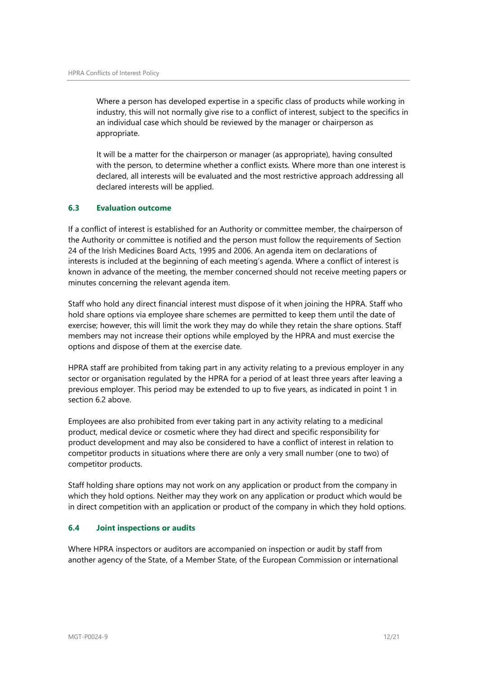Where a person has developed expertise in a specific class of products while working in industry, this will not normally give rise to a conflict of interest, subject to the specifics in an individual case which should be reviewed by the manager or chairperson as appropriate.

It will be a matter for the chairperson or manager (as appropriate), having consulted with the person, to determine whether a conflict exists. Where more than one interest is declared, all interests will be evaluated and the most restrictive approach addressing all declared interests will be applied.

## **6.3 Evaluation outcome**

If a conflict of interest is established for an Authority or committee member, the chairperson of the Authority or committee is notified and the person must follow the requirements of Section 24 of the Irish Medicines Board Acts, 1995 and 2006. An agenda item on declarations of interests is included at the beginning of each meeting's agenda. Where a conflict of interest is known in advance of the meeting, the member concerned should not receive meeting papers or minutes concerning the relevant agenda item.

Staff who hold any direct financial interest must dispose of it when joining the HPRA. Staff who hold share options via employee share schemes are permitted to keep them until the date of exercise; however, this will limit the work they may do while they retain the share options. Staff members may not increase their options while employed by the HPRA and must exercise the options and dispose of them at the exercise date.

HPRA staff are prohibited from taking part in any activity relating to a previous employer in any sector or organisation regulated by the HPRA for a period of at least three years after leaving a previous employer. This period may be extended to up to five years, as indicated in point 1 in section 6.2 above.

Employees are also prohibited from ever taking part in any activity relating to a medicinal product, medical device or cosmetic where they had direct and specific responsibility for product development and may also be considered to have a conflict of interest in relation to competitor products in situations where there are only a very small number (one to two) of competitor products.

Staff holding share options may not work on any application or product from the company in which they hold options. Neither may they work on any application or product which would be in direct competition with an application or product of the company in which they hold options.

#### **6.4 Joint inspections or audits**

Where HPRA inspectors or auditors are accompanied on inspection or audit by staff from another agency of the State, of a Member State, of the European Commission or international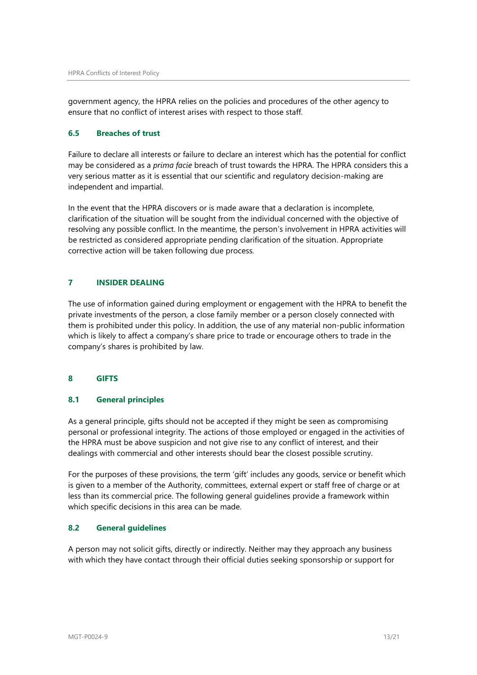government agency, the HPRA relies on the policies and procedures of the other agency to ensure that no conflict of interest arises with respect to those staff.

#### **6.5 Breaches of trust**

Failure to declare all interests or failure to declare an interest which has the potential for conflict may be considered as a *prima facie* breach of trust towards the HPRA. The HPRA considers this a very serious matter as it is essential that our scientific and regulatory decision-making are independent and impartial.

In the event that the HPRA discovers or is made aware that a declaration is incomplete, clarification of the situation will be sought from the individual concerned with the objective of resolving any possible conflict. In the meantime, the person's involvement in HPRA activities will be restricted as considered appropriate pending clarification of the situation. Appropriate corrective action will be taken following due process.

#### <span id="page-12-0"></span>**7 INSIDER DEALING**

The use of information gained during employment or engagement with the HPRA to benefit the private investments of the person, a close family member or a person closely connected with them is prohibited under this policy. In addition, the use of any material non-public information which is likely to affect a company's share price to trade or encourage others to trade in the company's shares is prohibited by law.

#### <span id="page-12-1"></span>**8 GIFTS**

#### **8.1 General principles**

As a general principle, gifts should not be accepted if they might be seen as compromising personal or professional integrity. The actions of those employed or engaged in the activities of the HPRA must be above suspicion and not give rise to any conflict of interest, and their dealings with commercial and other interests should bear the closest possible scrutiny.

For the purposes of these provisions, the term 'gift' includes any goods, service or benefit which is given to a member of the Authority, committees, external expert or staff free of charge or at less than its commercial price. The following general guidelines provide a framework within which specific decisions in this area can be made.

#### **8.2 General guidelines**

A person may not solicit gifts, directly or indirectly. Neither may they approach any business with which they have contact through their official duties seeking sponsorship or support for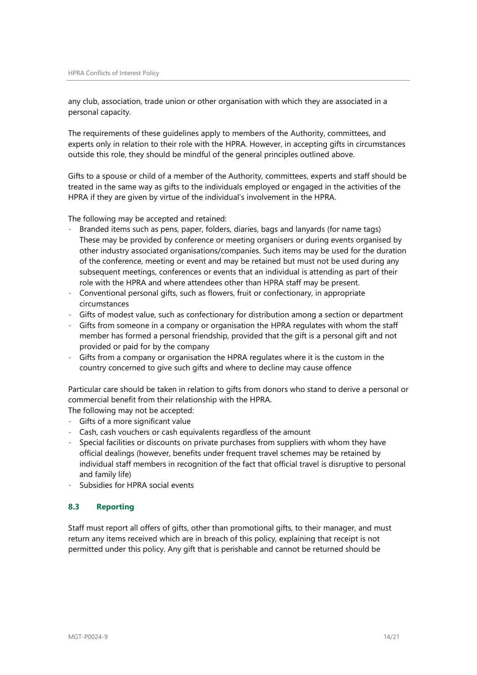any club, association, trade union or other organisation with which they are associated in a personal capacity.

The requirements of these guidelines apply to members of the Authority, committees, and experts only in relation to their role with the HPRA. However, in accepting gifts in circumstances outside this role, they should be mindful of the general principles outlined above.

Gifts to a spouse or child of a member of the Authority, committees, experts and staff should be treated in the same way as gifts to the individuals employed or engaged in the activities of the HPRA if they are given by virtue of the individual's involvement in the HPRA.

The following may be accepted and retained:

- Branded items such as pens, paper, folders, diaries, bags and lanyards (for name tags) These may be provided by conference or meeting organisers or during events organised by other industry associated organisations/companies. Such items may be used for the duration of the conference, meeting or event and may be retained but must not be used during any subsequent meetings, conferences or events that an individual is attending as part of their role with the HPRA and where attendees other than HPRA staff may be present.
- Conventional personal gifts, such as flowers, fruit or confectionary, in appropriate circumstances
- Gifts of modest value, such as confectionary for distribution among a section or department
- Gifts from someone in a company or organisation the HPRA regulates with whom the staff member has formed a personal friendship, provided that the gift is a personal gift and not provided or paid for by the company
- Gifts from a company or organisation the HPRA regulates where it is the custom in the country concerned to give such gifts and where to decline may cause offence

Particular care should be taken in relation to gifts from donors who stand to derive a personal or commercial benefit from their relationship with the HPRA.

The following may not be accepted:

- Gifts of a more significant value
- Cash, cash vouchers or cash equivalents regardless of the amount
- Special facilities or discounts on private purchases from suppliers with whom they have official dealings (however, benefits under frequent travel schemes may be retained by individual staff members in recognition of the fact that official travel is disruptive to personal and family life)
- Subsidies for HPRA social events

#### **8.3 Reporting**

Staff must report all offers of gifts, other than promotional gifts, to their manager, and must return any items received which are in breach of this policy, explaining that receipt is not permitted under this policy. Any gift that is perishable and cannot be returned should be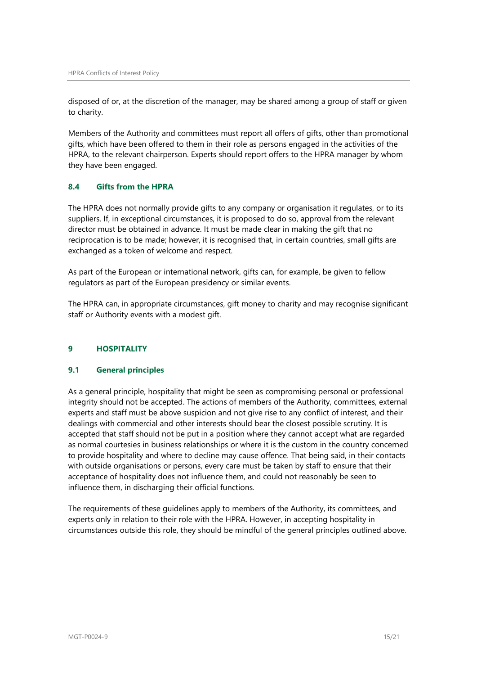disposed of or, at the discretion of the manager, may be shared among a group of staff or given to charity.

Members of the Authority and committees must report all offers of gifts, other than promotional gifts, which have been offered to them in their role as persons engaged in the activities of the HPRA, to the relevant chairperson. Experts should report offers to the HPRA manager by whom they have been engaged.

## **8.4 Gifts from the HPRA**

The HPRA does not normally provide gifts to any company or organisation it regulates, or to its suppliers. If, in exceptional circumstances, it is proposed to do so, approval from the relevant director must be obtained in advance. It must be made clear in making the gift that no reciprocation is to be made; however, it is recognised that, in certain countries, small gifts are exchanged as a token of welcome and respect.

As part of the European or international network, gifts can, for example, be given to fellow regulators as part of the European presidency or similar events.

The HPRA can, in appropriate circumstances, gift money to charity and may recognise significant staff or Authority events with a modest gift.

#### <span id="page-14-0"></span>**9 HOSPITALITY**

#### **9.1 General principles**

As a general principle, hospitality that might be seen as compromising personal or professional integrity should not be accepted. The actions of members of the Authority, committees, external experts and staff must be above suspicion and not give rise to any conflict of interest, and their dealings with commercial and other interests should bear the closest possible scrutiny. It is accepted that staff should not be put in a position where they cannot accept what are regarded as normal courtesies in business relationships or where it is the custom in the country concerned to provide hospitality and where to decline may cause offence. That being said, in their contacts with outside organisations or persons, every care must be taken by staff to ensure that their acceptance of hospitality does not influence them, and could not reasonably be seen to influence them, in discharging their official functions.

The requirements of these guidelines apply to members of the Authority, its committees, and experts only in relation to their role with the HPRA. However, in accepting hospitality in circumstances outside this role, they should be mindful of the general principles outlined above.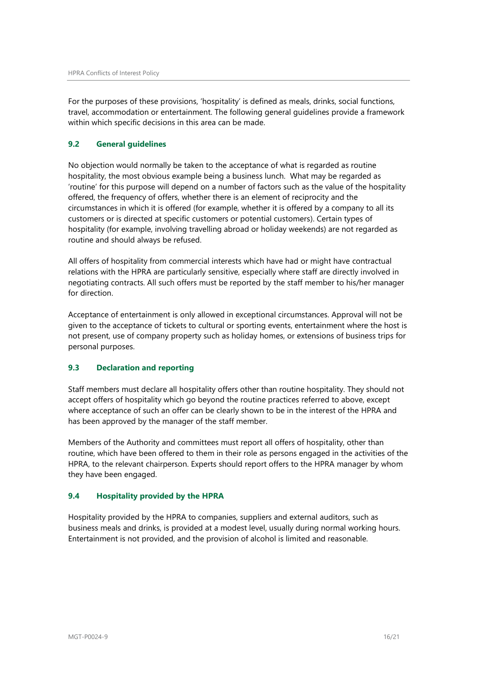For the purposes of these provisions, 'hospitality' is defined as meals, drinks, social functions, travel, accommodation or entertainment. The following general guidelines provide a framework within which specific decisions in this area can be made.

## **9.2 General guidelines**

No objection would normally be taken to the acceptance of what is regarded as routine hospitality, the most obvious example being a business lunch. What may be regarded as 'routine' for this purpose will depend on a number of factors such as the value of the hospitality offered, the frequency of offers, whether there is an element of reciprocity and the circumstances in which it is offered (for example, whether it is offered by a company to all its customers or is directed at specific customers or potential customers). Certain types of hospitality (for example, involving travelling abroad or holiday weekends) are not regarded as routine and should always be refused.

All offers of hospitality from commercial interests which have had or might have contractual relations with the HPRA are particularly sensitive, especially where staff are directly involved in negotiating contracts. All such offers must be reported by the staff member to his/her manager for direction.

Acceptance of entertainment is only allowed in exceptional circumstances. Approval will not be given to the acceptance of tickets to cultural or sporting events, entertainment where the host is not present, use of company property such as holiday homes, or extensions of business trips for personal purposes.

## **9.3 Declaration and reporting**

Staff members must declare all hospitality offers other than routine hospitality. They should not accept offers of hospitality which go beyond the routine practices referred to above, except where acceptance of such an offer can be clearly shown to be in the interest of the HPRA and has been approved by the manager of the staff member.

Members of the Authority and committees must report all offers of hospitality, other than routine, which have been offered to them in their role as persons engaged in the activities of the HPRA, to the relevant chairperson. Experts should report offers to the HPRA manager by whom they have been engaged.

#### **9.4 Hospitality provided by the HPRA**

Hospitality provided by the HPRA to companies, suppliers and external auditors, such as business meals and drinks, is provided at a modest level, usually during normal working hours. Entertainment is not provided, and the provision of alcohol is limited and reasonable.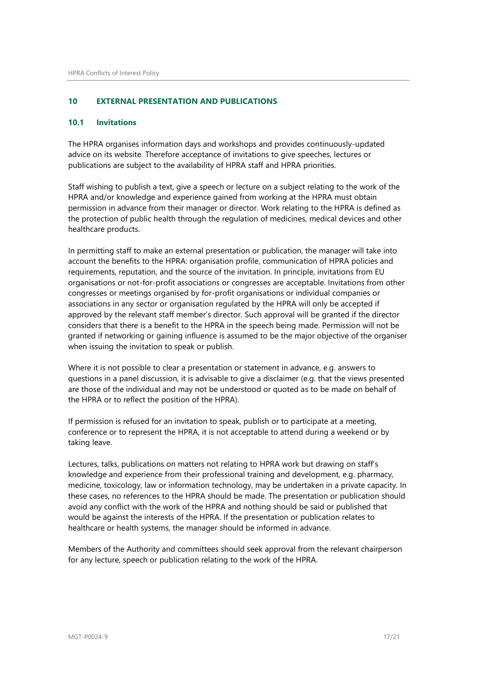#### <span id="page-16-0"></span>**10 EXTERNAL PRESENTATION AND PUBLICATIONS**

#### **10.1 Invitations**

The HPRA organises information days and workshops and provides continuously-updated advice on its website. Therefore acceptance of invitations to give speeches, lectures or publications are subject to the availability of HPRA staff and HPRA priorities.

Staff wishing to publish a text, give a speech or lecture on a subject relating to the work of the HPRA and/or knowledge and experience gained from working at the HPRA must obtain permission in advance from their manager or director. Work relating to the HPRA is defined as the protection of public health through the regulation of medicines, medical devices and other healthcare products.

In permitting staff to make an external presentation or publication, the manager will take into account the benefits to the HPRA: organisation profile, communication of HPRA policies and requirements, reputation, and the source of the invitation. In principle, invitations from EU organisations or not-for-profit associations or congresses are acceptable. Invitations from other congresses or meetings organised by for-profit organisations or individual companies or associations in any sector or organisation regulated by the HPRA will only be accepted if approved by the relevant staff member's director. Such approval will be granted if the director considers that there is a benefit to the HPRA in the speech being made. Permission will not be granted if networking or gaining influence is assumed to be the major objective of the organiser when issuing the invitation to speak or publish.

Where it is not possible to clear a presentation or statement in advance, e.g. answers to questions in a panel discussion, it is advisable to give a disclaimer (e.g. that the views presented are those of the individual and may not be understood or quoted as to be made on behalf of the HPRA or to reflect the position of the HPRA).

If permission is refused for an invitation to speak, publish or to participate at a meeting, conference or to represent the HPRA, it is not acceptable to attend during a weekend or by taking leave.

Lectures, talks, publications on matters not relating to HPRA work but drawing on staff's knowledge and experience from their professional training and development, e.g. pharmacy, medicine, toxicology, law or information technology, may be undertaken in a private capacity. In these cases, no references to the HPRA should be made. The presentation or publication should avoid any conflict with the work of the HPRA and nothing should be said or published that would be against the interests of the HPRA. If the presentation or publication relates to healthcare or health systems, the manager should be informed in advance.

Members of the Authority and committees should seek approval from the relevant chairperson for any lecture, speech or publication relating to the work of the HPRA.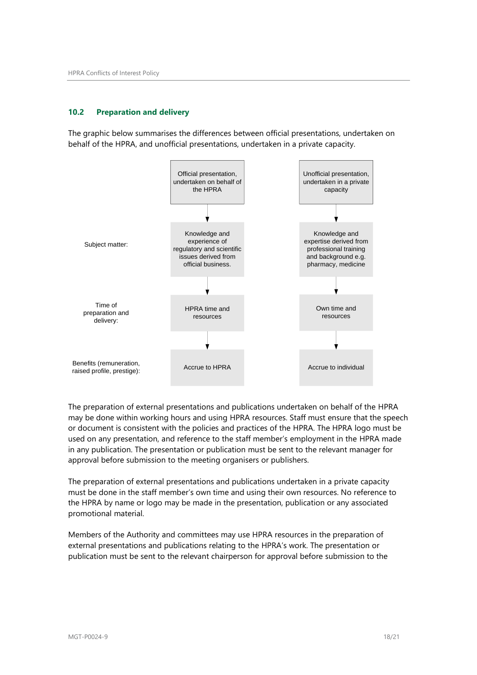#### **10.2 Preparation and delivery**

The graphic below summarises the differences between official presentations, undertaken on behalf of the HPRA, and unofficial presentations, undertaken in a private capacity.



The preparation of external presentations and publications undertaken on behalf of the HPRA may be done within working hours and using HPRA resources. Staff must ensure that the speech or document is consistent with the policies and practices of the HPRA. The HPRA logo must be used on any presentation, and reference to the staff member's employment in the HPRA made in any publication. The presentation or publication must be sent to the relevant manager for approval before submission to the meeting organisers or publishers.

The preparation of external presentations and publications undertaken in a private capacity must be done in the staff member's own time and using their own resources. No reference to the HPRA by name or logo may be made in the presentation, publication or any associated promotional material.

Members of the Authority and committees may use HPRA resources in the preparation of external presentations and publications relating to the HPRA's work. The presentation or publication must be sent to the relevant chairperson for approval before submission to the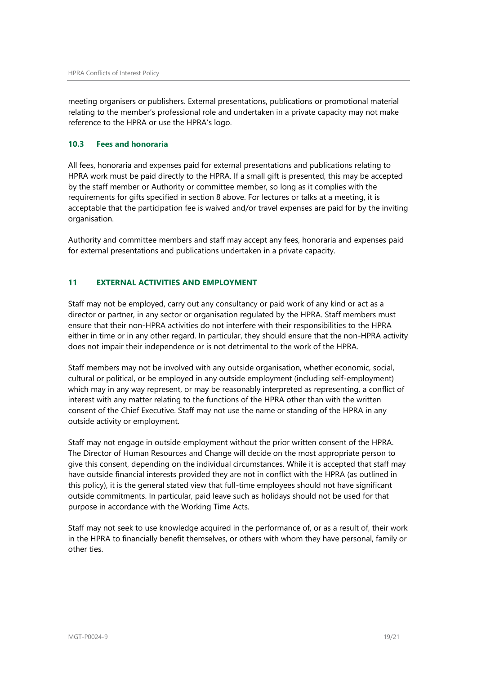meeting organisers or publishers. External presentations, publications or promotional material relating to the member's professional role and undertaken in a private capacity may not make reference to the HPRA or use the HPRA's logo.

#### **10.3 Fees and honoraria**

All fees, honoraria and expenses paid for external presentations and publications relating to HPRA work must be paid directly to the HPRA. If a small gift is presented, this may be accepted by the staff member or Authority or committee member, so long as it complies with the requirements for gifts specified in section 8 above. For lectures or talks at a meeting, it is acceptable that the participation fee is waived and/or travel expenses are paid for by the inviting organisation.

Authority and committee members and staff may accept any fees, honoraria and expenses paid for external presentations and publications undertaken in a private capacity.

## <span id="page-18-0"></span>**11 EXTERNAL ACTIVITIES AND EMPLOYMENT**

Staff may not be employed, carry out any consultancy or paid work of any kind or act as a director or partner, in any sector or organisation regulated by the HPRA. Staff members must ensure that their non-HPRA activities do not interfere with their responsibilities to the HPRA either in time or in any other regard. In particular, they should ensure that the non-HPRA activity does not impair their independence or is not detrimental to the work of the HPRA.

Staff members may not be involved with any outside organisation, whether economic, social, cultural or political, or be employed in any outside employment (including self-employment) which may in any way represent, or may be reasonably interpreted as representing, a conflict of interest with any matter relating to the functions of the HPRA other than with the written consent of the Chief Executive. Staff may not use the name or standing of the HPRA in any outside activity or employment.

Staff may not engage in outside employment without the prior written consent of the HPRA. The Director of Human Resources and Change will decide on the most appropriate person to give this consent, depending on the individual circumstances. While it is accepted that staff may have outside financial interests provided they are not in conflict with the HPRA (as outlined in this policy), it is the general stated view that full-time employees should not have significant outside commitments. In particular, paid leave such as holidays should not be used for that purpose in accordance with the Working Time Acts.

Staff may not seek to use knowledge acquired in the performance of, or as a result of, their work in the HPRA to financially benefit themselves, or others with whom they have personal, family or other ties.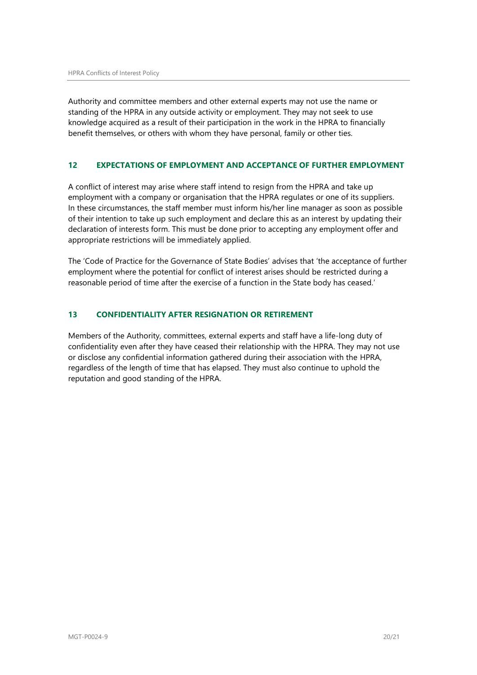Authority and committee members and other external experts may not use the name or standing of the HPRA in any outside activity or employment. They may not seek to use knowledge acquired as a result of their participation in the work in the HPRA to financially benefit themselves, or others with whom they have personal, family or other ties.

## <span id="page-19-0"></span>**12 EXPECTATIONS OF EMPLOYMENT AND ACCEPTANCE OF FURTHER EMPLOYMENT**

A conflict of interest may arise where staff intend to resign from the HPRA and take up employment with a company or organisation that the HPRA regulates or one of its suppliers. In these circumstances, the staff member must inform his/her line manager as soon as possible of their intention to take up such employment and declare this as an interest by updating their declaration of interests form. This must be done prior to accepting any employment offer and appropriate restrictions will be immediately applied.

The 'Code of Practice for the Governance of State Bodies' advises that 'the acceptance of further employment where the potential for conflict of interest arises should be restricted during a reasonable period of time after the exercise of a function in the State body has ceased.'

#### <span id="page-19-1"></span>**13 CONFIDENTIALITY AFTER RESIGNATION OR RETIREMENT**

Members of the Authority, committees, external experts and staff have a life-long duty of confidentiality even after they have ceased their relationship with the HPRA. They may not use or disclose any confidential information gathered during their association with the HPRA, regardless of the length of time that has elapsed. They must also continue to uphold the reputation and good standing of the HPRA.